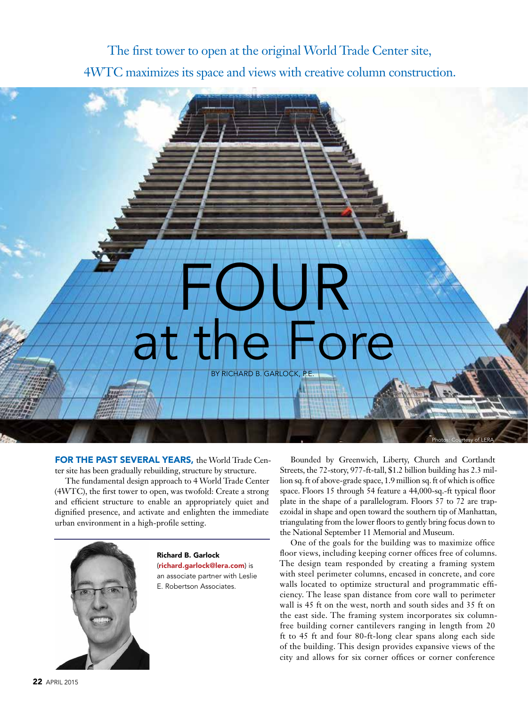The first tower to open at the original World Trade Center site, 4WTC maximizes its space and views with creative column construction.

# FOUR at the Fore

BY RICHARD B. GARLOCK, P.E.

FOR THE PAST SEVERAL YEARS, the World Trade Center site has been gradually rebuilding, structure by structure.

The fundamental design approach to 4 World Trade Center (4WTC), the first tower to open, was twofold: Create a strong and efficient structure to enable an appropriately quiet and dignified presence, and activate and enlighten the immediate urban environment in a high-profile setting.



Richard B. Garlock (richard.garlock@lera.com) is an associate partner with Leslie E. Robertson Associates.

Bounded by Greenwich, Liberty, Church and Cortlandt Streets, the 72-story, 977-ft-tall, \$1.2 billion building has 2.3 million sq. ft of above-grade space, 1.9 million sq. ft of which is office space. Floors 15 through 54 feature a 44,000-sq.-ft typical floor plate in the shape of a parallelogram. Floors 57 to 72 are trapezoidal in shape and open toward the southern tip of Manhattan, triangulating from the lower floors to gently bring focus down to the National September 11 Memorial and Museum.

Photos: Courtesy of LERA

One of the goals for the building was to maximize office floor views, including keeping corner offices free of columns. The design team responded by creating a framing system with steel perimeter columns, encased in concrete, and core walls located to optimize structural and programmatic efficiency. The lease span distance from core wall to perimeter wall is 45 ft on the west, north and south sides and 35 ft on the east side. The framing system incorporates six columnfree building corner cantilevers ranging in length from 20 ft to 45 ft and four 80-ft-long clear spans along each side of the building. This design provides expansive views of the city and allows for six corner offices or corner conference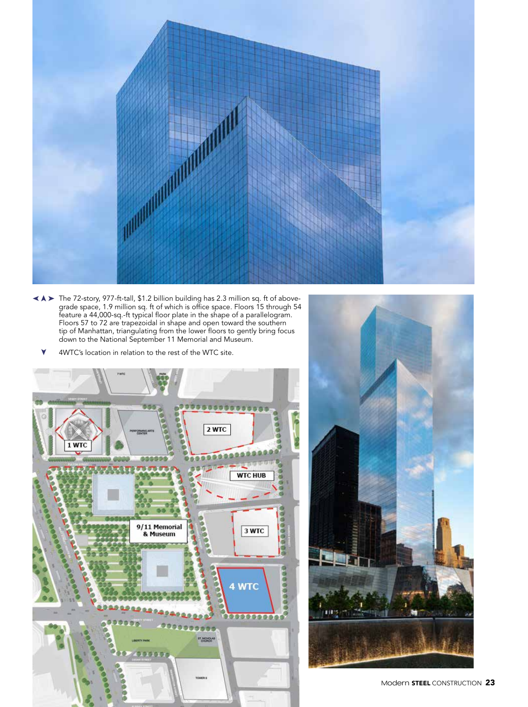

- The 72-story, 977-ft-tall, \$1.2 billion building has 2.3 million sq. ft of above-➤ ➤ grade space, 1.9 million sq. ft of which is office space. Floors 15 through 54 feature a 44,000-sq.-ft typical floor plate in the shape of a parallelogram. Floors 57 to 72 are trapezoidal in shape and open toward the southern tip of Manhattan, triangulating from the lower floors to gently bring focus down to the National September 11 Memorial and Museum.
	- 4WTC's location in relation to the rest of the WTC site. ➤



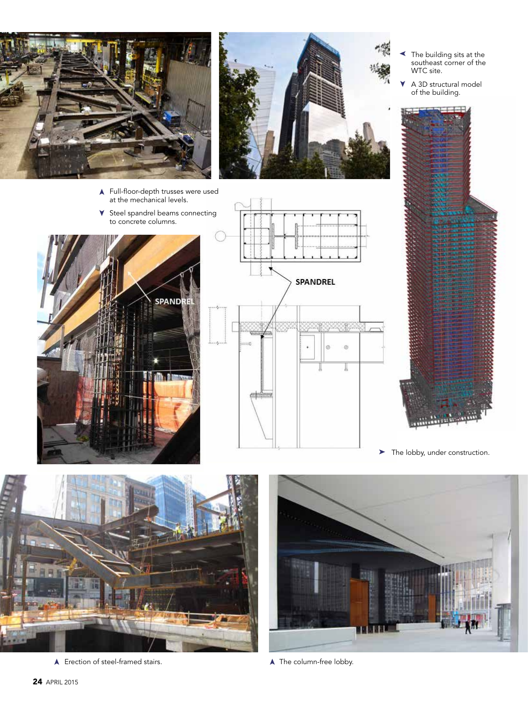

- ➤ Full-floor-depth trusses were used at the mechanical levels.
- ➤ Steel spandrel beams connecting to concrete columns.





- ➤ The building sits at the southeast corner of the WTC site.
- ➤ A 3D structural model of the building.



➤ The lobby, under construction.



➤ Erection of steel-framed stairs. The column-free lobby.



➤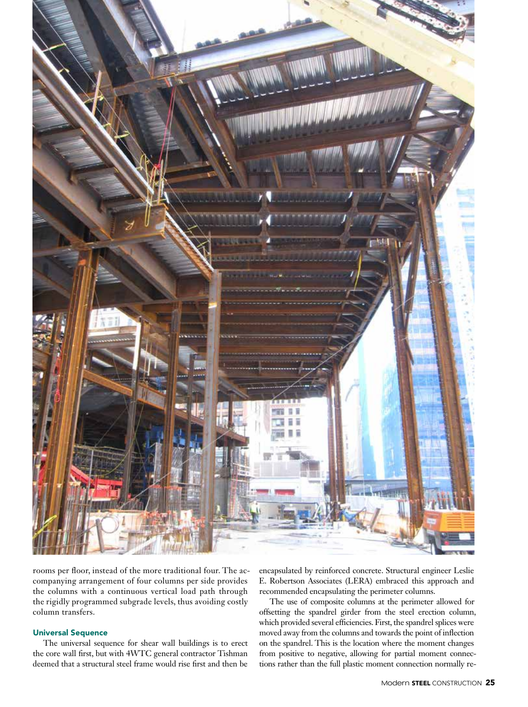

rooms per floor, instead of the more traditional four. The accompanying arrangement of four columns per side provides the columns with a continuous vertical load path through the rigidly programmed subgrade levels, thus avoiding costly column transfers.

### Universal Sequence

The universal sequence for shear wall buildings is to erect the core wall first, but with 4WTC general contractor Tishman deemed that a structural steel frame would rise first and then be encapsulated by reinforced concrete. Structural engineer Leslie E. Robertson Associates (LERA) embraced this approach and recommended encapsulating the perimeter columns.

The use of composite columns at the perimeter allowed for offsetting the spandrel girder from the steel erection column, which provided several efficiencies. First, the spandrel splices were moved away from the columns and towards the point of inflection on the spandrel. This is the location where the moment changes from positive to negative, allowing for partial moment connections rather than the full plastic moment connection normally re-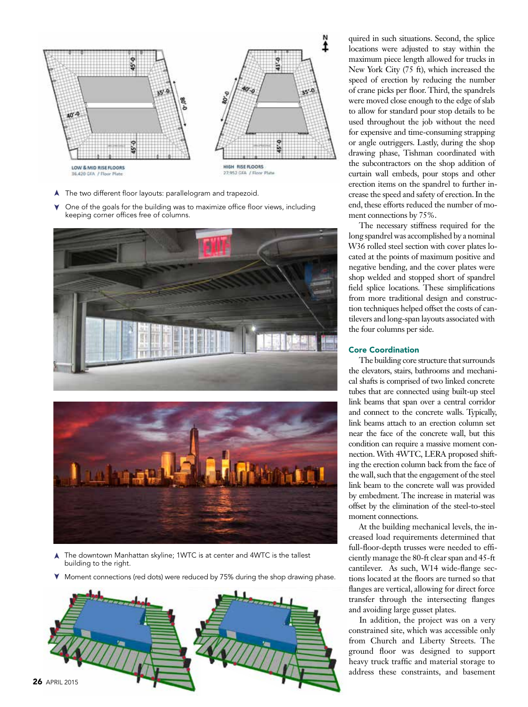

- ➤ The two different floor layouts: parallelogram and trapezoid.
- ➤ One of the goals for the building was to maximize office floor views, including keeping corner offices free of columns.





- ➤The downtown Manhattan skyline; 1WTC is at center and 4WTC is the tallest building to the right.
- ➤ Moment connections (red dots) were reduced by 75% during the shop drawing phase.



quired in such situations. Second, the splice locations were adjusted to stay within the maximum piece length allowed for trucks in New York City (75 ft), which increased the speed of erection by reducing the number of crane picks per floor. Third, the spandrels were moved close enough to the edge of slab to allow for standard pour stop details to be used throughout the job without the need for expensive and time-consuming strapping or angle outriggers. Lastly, during the shop drawing phase, Tishman coordinated with the subcontractors on the shop addition of curtain wall embeds, pour stops and other erection items on the spandrel to further increase the speed and safety of erection. In the end, these efforts reduced the number of moment connections by 75%.

The necessary stiffness required for the long spandrel was accomplished by a nominal W36 rolled steel section with cover plates located at the points of maximum positive and negative bending, and the cover plates were shop welded and stopped short of spandrel field splice locations. These simplifications from more traditional design and construction techniques helped offset the costs of cantilevers and long-span layouts associated with the four columns per side.

# Core Coordination

The building core structure that surrounds the elevators, stairs, bathrooms and mechanical shafts is comprised of two linked concrete tubes that are connected using built-up steel link beams that span over a central corridor and connect to the concrete walls. Typically, link beams attach to an erection column set near the face of the concrete wall, but this condition can require a massive moment connection. With 4WTC, LERA proposed shifting the erection column back from the face of the wall, such that the engagement of the steel link beam to the concrete wall was provided by embedment. The increase in material was offset by the elimination of the steel-to-steel moment connections.

At the building mechanical levels, the increased load requirements determined that full-floor-depth trusses were needed to efficiently manage the 80-ft clear span and 45-ft cantilever. As such, W14 wide-flange sections located at the floors are turned so that flanges are vertical, allowing for direct force transfer through the intersecting flanges and avoiding large gusset plates.

In addition, the project was on a very constrained site, which was accessible only from Church and Liberty Streets. The ground floor was designed to support heavy truck traffic and material storage to address these constraints, and basement